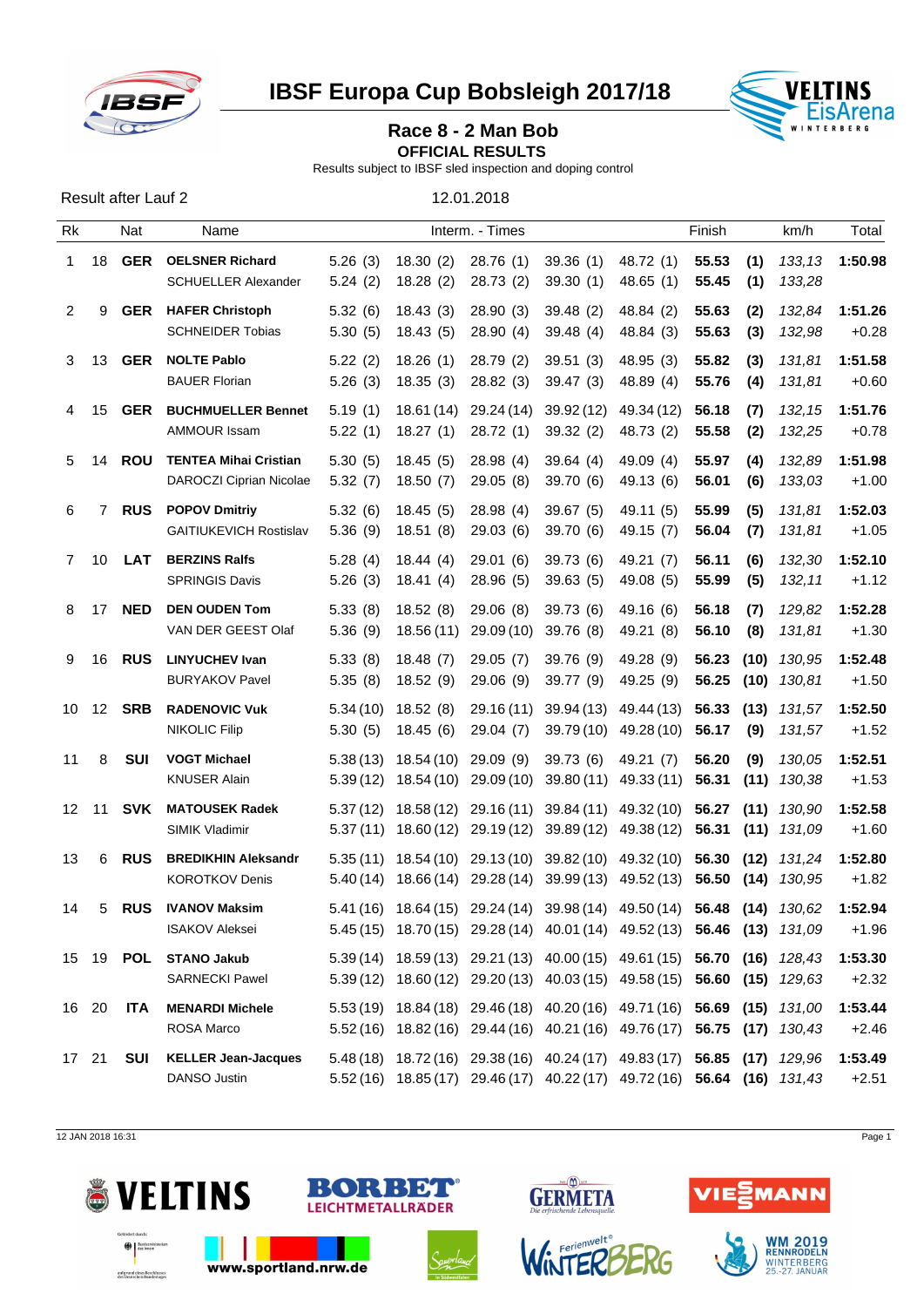

**IBSF Europa Cup Bobsleigh 2017/18 VELTINS** 



**OFFICIAL RESULTS** 

Results subject to IBSF sled inspection and doping control

| Result after Lauf 2 | 12.01.2018 |
|---------------------|------------|
|                     |            |

| Rk           |                | Nat        | Name                                                    |                     |                                     | Interm. - Times        |                                                                                                                                                    |                          | Finish         |             | km/h                               | Total              |
|--------------|----------------|------------|---------------------------------------------------------|---------------------|-------------------------------------|------------------------|----------------------------------------------------------------------------------------------------------------------------------------------------|--------------------------|----------------|-------------|------------------------------------|--------------------|
| $\mathbf{1}$ | 18             | GER        | <b>OELSNER Richard</b><br><b>SCHUELLER Alexander</b>    | 5.26(3)<br>5.24(2)  | 18.30 (2)<br>18.28(2)               | 28.76 (1)<br>28.73 (2) | 39.36(1)<br>39.30(1)                                                                                                                               | 48.72 (1)<br>48.65 (1)   | 55.53<br>55.45 | (1)<br>(1)  | 133,13<br>133,28                   | 1:50.98            |
| 2            | 9              |            | <b>GER</b> HAFER Christoph<br><b>SCHNEIDER Tobias</b>   | 5.32(6)<br>5.30(5)  | 18.43(3)<br>18.43(5)                | 28.90(3)<br>28.90(4)   | 39.48(2)<br>39.48(4)                                                                                                                               | 48.84 (2)<br>48.84 (3)   | 55.63<br>55.63 | (2)<br>(3)  | 132.84<br>132,98                   | 1:51.26<br>$+0.28$ |
| 3            | 13             | GER        | <b>NOLTE Pablo</b><br><b>BAUER Florian</b>              | 5.22(2)<br>5.26(3)  | 18.26(1)<br>18.35(3)                | 28.79 (2)<br>28.82 (3) | 39.51(3)<br>39.47(3)                                                                                                                               | 48.95 (3)<br>48.89 (4)   | 55.82<br>55.76 | (3)<br>(4)  | 131,81<br>131,81                   | 1:51.58<br>$+0.60$ |
| 4            | 15             | <b>GER</b> | <b>BUCHMUELLER Bennet</b><br><b>AMMOUR Issam</b>        | 5.19(1)<br>5.22(1)  | 18.61 (14)<br>18.27 (1)             | 29.24 (14)<br>28.72(1) | 39.92 (12)<br>39.32(2)                                                                                                                             | 49.34 (12)<br>48.73 (2)  | 56.18<br>55.58 | (7)<br>(2)  | 132,15<br>132,25                   | 1:51.76<br>$+0.78$ |
| 5            | 14             | ROU        | <b>TENTEA Mihai Cristian</b><br>DAROCZI Ciprian Nicolae | 5.30(5)<br>5.32(7)  | 18.45(5)<br>18.50 (7)               | 28.98(4)<br>29.05(8)   | 39.64(4)<br>39.70 (6)                                                                                                                              | 49.09(4)<br>49.13 (6)    | 55.97<br>56.01 | (4)<br>(6)  | 132,89<br>133,03                   | 1:51.98<br>$+1.00$ |
| 6            | $\overline{7}$ | <b>RUS</b> | <b>POPOV Dmitriy</b><br><b>GAITIUKEVICH Rostislav</b>   | 5.32(6)<br>5.36(9)  | 18.45(5)<br>18.51(8)                | 28.98 (4)<br>29.03(6)  | 39.67(5)<br>39.70(6)                                                                                                                               | 49.11 (5)<br>49.15 (7)   | 55.99<br>56.04 | (5)<br>(7)  | 131,81<br>131,81                   | 1:52.03<br>$+1.05$ |
| $7^{\circ}$  | 10             | LAT        | <b>BERZINS Ralfs</b><br><b>SPRINGIS Davis</b>           | 5.28(4)<br>5.26(3)  | 18.44(4)<br>18.41 (4)               | 29.01(6)<br>28.96(5)   | 39.73(6)<br>39.63(5)                                                                                                                               | 49.21 (7)<br>49.08 (5)   | 56.11<br>55.99 | (6)<br>(5)  | 132,30<br>132,11                   | 1:52.10<br>$+1.12$ |
| 8            | 17             | <b>NED</b> | <b>DEN OUDEN Tom</b><br>VAN DER GEEST Olaf              | 5.33(8)<br>5.36(9)  | 18.52(8)<br>18.56 (11)              | 29.06(8)<br>29.09 (10) | 39.73(6)<br>39.76 (8)                                                                                                                              | 49.16 (6)<br>49.21 (8)   | 56.18<br>56.10 | (7)<br>(8)  | 129,82<br>131,81                   | 1:52.28<br>$+1.30$ |
| 9            | 16             | <b>RUS</b> | <b>LINYUCHEV Ivan</b><br><b>BURYAKOV Pavel</b>          | 5.33(8)<br>5.35(8)  | 18.48 (7)<br>18.52 (9)              | 29.05(7)<br>29.06 (9)  | 39.76(9)<br>39.77 (9)                                                                                                                              | 49.28 (9)<br>49.25 (9)   | 56.23<br>56.25 |             | $(10)$ $130,95$<br>$(10)$ 130,81   | 1:52.48<br>$+1.50$ |
|              | 10 12          | <b>SRB</b> | <b>RADENOVIC Vuk</b><br><b>NIKOLIC Filip</b>            | 5.34(10)<br>5.30(5) | 18.52(8)<br>18.45 (6)               | 29.04 (7)              | 29.16 (11) 39.94 (13)<br>39.79 (10)                                                                                                                | 49.44 (13)<br>49.28 (10) | 56.33<br>56.17 | (13)<br>(9) | 131,57<br>131,57                   | 1:52.50<br>$+1.52$ |
| 11           | 8              | SUI        | <b>VOGT Michael</b><br><b>KNUSER Alain</b>              |                     | $5.38(13)$ 18.54 $(10)$ 29.09 $(9)$ |                        | 39.73 (6)<br>5.39 (12) 18.54 (10) 29.09 (10) 39.80 (11) 49.33 (11) 56.31 (11) 130,38                                                               | 49.21 (7)                | 56.20          | (9)         | 130.05                             | 1:52.51<br>$+1.53$ |
|              | 12 11          | SVK        | <b>MATOUSEK Radek</b><br>SIMIK Vladimir                 |                     |                                     |                        | $5.37(12)$ 18.58 $(12)$ 29.16 $(11)$ 39.84 $(11)$ 49.32 $(10)$<br>$5.37(11)$ $18.60(12)$ $29.19(12)$ $39.89(12)$                                   | 49.38 (12)               | 56.27<br>56.31 |             | $(11)$ $130.90$<br>$(11)$ $131,09$ | 1:52.58<br>$+1.60$ |
| 13           | 6              | <b>RUS</b> | <b>BREDIKHIN Aleksandr</b><br><b>KOROTKOV Denis</b>     |                     |                                     |                        | $5.35(11)$ $18.54(10)$ $29.13(10)$ $39.82(10)$ $49.32(10)$<br>5.40 (14) 18.66 (14) 29.28 (14) 39.99 (13) 49.52 (13) 56.50 (14) 130,95              |                          | 56.30          | (12)        | 131,24                             | 1:52.80<br>$+1.82$ |
| 14           | 5              | <b>RUS</b> | <b>IVANOV Maksim</b><br><b>ISAKOV Aleksei</b>           |                     |                                     |                        | 5.41 (16) 18.64 (15) 29.24 (14) 39.98 (14) 49.50 (14) 56.48 (14) 130,62<br>5.45 (15) 18.70 (15) 29.28 (14) 40.01 (14) 49.52 (13) 56.46 (13) 131,09 |                          |                |             |                                    | 1:52.94<br>$+1.96$ |
|              |                |            | 15 19 POL STANO Jakub<br><b>SARNECKI Pawel</b>          |                     |                                     |                        | 5.39 (14) 18.59 (13) 29.21 (13) 40.00 (15) 49.61 (15) 56.70 (16) 128,43<br>5.39(12) 18.60(12) 29.20(13) 40.03(15) 49.58(15) 56.60 (15) 129,63      |                          |                |             |                                    | 1:53.30<br>$+2.32$ |
| 16 20        |                | <b>ITA</b> | <b>MENARDI Michele</b><br>ROSA Marco                    |                     |                                     |                        | 5.53 (19) 18.84 (18) 29.46 (18) 40.20 (16) 49.71 (16) 56.69 (15) 131,00<br>5.52(16) 18.82(16) 29.44(16) 40.21(16) 49.76(17) 56.75 (17) 130,43      |                          |                |             |                                    | 1:53.44<br>$+2.46$ |
| 17 21        |                | <b>SUI</b> | <b>KELLER Jean-Jacques</b><br>DANSO Justin              |                     |                                     |                        | 5.48 (18) 18.72 (16) 29.38 (16) 40.24 (17) 49.83 (17) 56.85 (17) 129,96<br>5.52(16) 18.85(17) 29.46(17) 40.22(17) 49.72(16) 56.64 (16) 131,43      |                          |                |             |                                    | 1:53.49<br>$+2.51$ |

12 JAN 2018 16:31 Page 1









**GERMETA** 



**WM 2019**<br>RENNRODELN WINTERBERG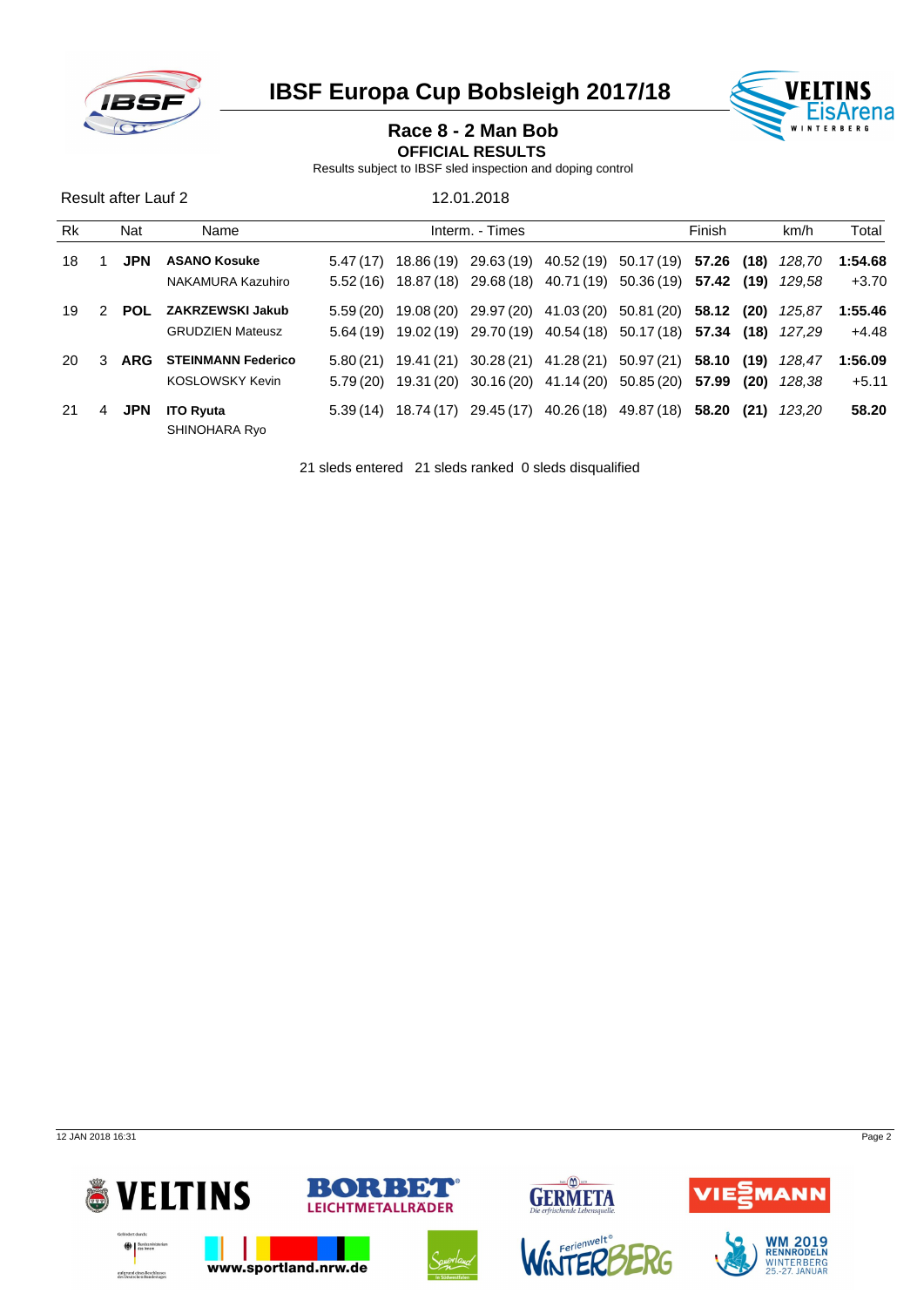

**IBSF Europa Cup Bobsleigh 2017/18 WELTINS** 



### **Race 8 - 2 Man Bob**

**OFFICIAL RESULTS** 

Results subject to IBSF sled inspection and doping control

| Result after Lauf 2 |   |            |                                   |           |                 | 12.01.2018 |        |                                                                              |       |       |        |         |
|---------------------|---|------------|-----------------------------------|-----------|-----------------|------------|--------|------------------------------------------------------------------------------|-------|-------|--------|---------|
| <b>Rk</b><br>Nat    |   |            | Name                              |           | Interm. - Times |            | Finish |                                                                              |       | Total |        |         |
| 18                  |   | <b>JPN</b> | <b>ASANO Kosuke</b>               | 5.47(17)  |                 |            |        | 18.86 (19) 29.63 (19) 40.52 (19) 50.17 (19)                                  | 57.26 | (18)  | 128.70 | 1:54.68 |
|                     |   |            | NAKAMURA Kazuhiro                 |           |                 |            |        | $5.52(16)$ $18.87(18)$ $29.68(18)$ $40.71(19)$ $50.36(19)$ <b>57.42 (19)</b> |       |       | 129.58 | $+3.70$ |
| 19                  | 2 | <b>POL</b> | ZAKRZEWSKI Jakub                  | 5.59(20)  |                 |            |        | 19.08 (20) 29.97 (20) 41.03 (20) 50.81 (20)                                  | 58.12 | (20)  | 125.87 | 1:55.46 |
|                     |   |            | <b>GRUDZIEN Mateusz</b>           |           |                 |            |        | 5.64 (19) 19.02 (19) 29.70 (19) 40.54 (18) 50.17 (18) 57.34 (18)             |       |       | 127.29 | $+4.48$ |
| 20.                 | 3 | <b>ARG</b> | <b>STEINMANN Federico</b>         |           |                 |            |        | $5.80(21)$ 19.41 (21) 30.28 (21) 41.28 (21) 50.97 (21)                       | 58.10 | (19)  | 128.47 | 1:56.09 |
|                     |   |            | <b>KOSLOWSKY Kevin</b>            | 5.79 (20) |                 |            |        | 19.31 (20) 30.16 (20) 41.14 (20) 50.85 (20) 57.99                            |       | (20)  | 128.38 | $+5.11$ |
| 21                  | 4 | <b>JPN</b> | <b>ITO Ryuta</b><br>SHINOHARA Ryo | 5.39(14)  |                 |            |        | 18.74 (17) 29.45 (17) 40.26 (18) 49.87 (18)                                  | 58.20 | (21)  | 123.20 | 58.20   |

21 sleds entered 21 sleds ranked 0 sleds disqualified

12 JAN 2018 16:31 Page 2

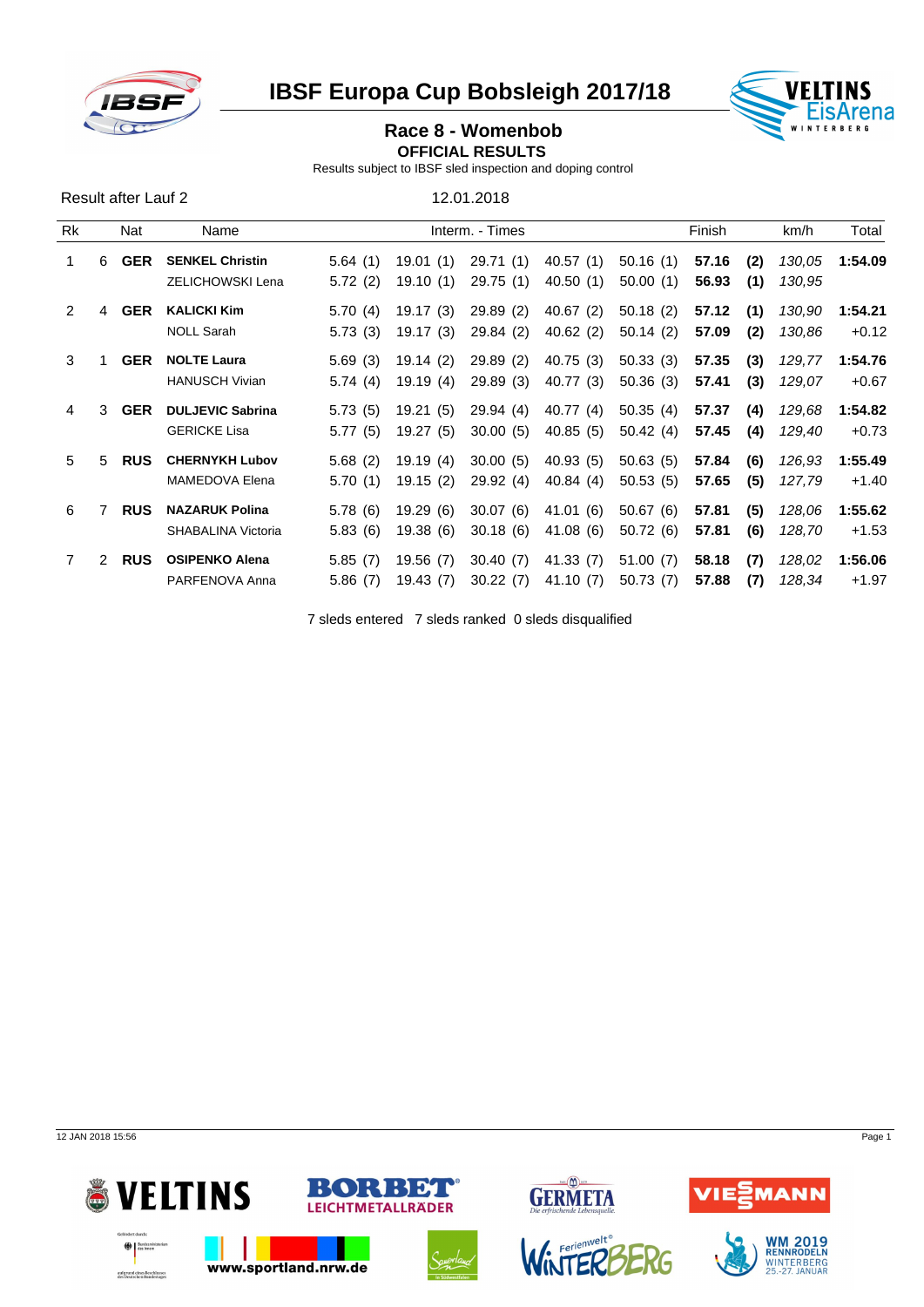

Result after Lauf 2 12.01.2018

**IBSF Europa Cup Bobsleigh 2017/18** 



# **Race 8 - Womenbob**

**OFFICIAL RESULTS** 

Results subject to IBSF sled inspection and doping control

Rk Nat Name Interm. - Times Finish km/h Total 1 6 **GER SENKEL Christin** 5.64 (1) 19.01 (1) 29.71 (1) 40.57 (1) 50.16 (1) **57.16 (2)** *130,05* **1:54.09** ZELICHOWSKI Lena 5.72 (2) 19.10 (1) 29.75 (1) 40.50 (1) 50.00 (1) **56.93 (1)** *130,95* 2 4 **GER KALICKI Kim** 5.70 (4) 19.17 (3) 29.89 (2) 40.67 (2) 50.18 (2) **57.12 (1)** *130,90* **1:54.21** NOLL Sarah 5.73 (3) 19.17 (3) 29.84 (2) 40.62 (2) 50.14 (2) **57.09 (2)** *130,86* +0.12 3 1 **GER NOLTE Laura** 5.69 (3) 19.14 (2) 29.89 (2) 40.75 (3) 50.33 (3) **57.35 (3)** *129,77* **1:54.76** HANUSCH Vivian 5.74 (4) 19.19 (4) 29.89 (3) 40.77 (3) 50.36 (3) **57.41 (3)** *129,07* +0.67 4 3 **GER DULJEVIC Sabrina** 5.73 (5) 19.21 (5) 29.94 (4) 40.77 (4) 50.35 (4) **57.37 (4)** *129,68* **1:54.82** GERICKE Lisa 5.77 (5) 19.27 (5) 30.00 (5) 40.85 (5) 50.42 (4) **57.45 (4)** *129,40* +0.73 5 5 **RUS CHERNYKH Lubov** 5.68 (2) 19.19 (4) 30.00 (5) 40.93 (5) 50.63 (5) **57.84 (6)** *126,93* **1:55.49** MAMEDOVA Elena 5.70 (1) 19.15 (2) 29.92 (4) 40.84 (4) 50.53 (5) **57.65 (5)** *127,79* +1.40 6 7 **RUS NAZARUK Polina** 5.78 (6) 19.29 (6) 30.07 (6) 41.01 (6) 50.67 (6) **57.81 (5)** *128,06* **1:55.62** SHABALINA Victoria 5.83 (6) 19.38 (6) 30.18 (6) 41.08 (6) 50.72 (6) **57.81 (6)** *128,70* +1.53 7 2 **RUS OSIPENKO Alena** 5.85 (7) 19.56 (7) 30.40 (7) 41.33 (7) 51.00 (7) **58.18 (7)** *128,02* **1:56.06** PARFENOVA Anna 5.86 (7) 19.43 (7) 30.22 (7) 41.10 (7) 50.73 (7) **57.88 (7)** *128,34* +1.97

7 sleds entered 7 sleds ranked 0 sleds disqualified

12 JAN 2018 15:56 Page 1





RENNRODELN WINTERBERG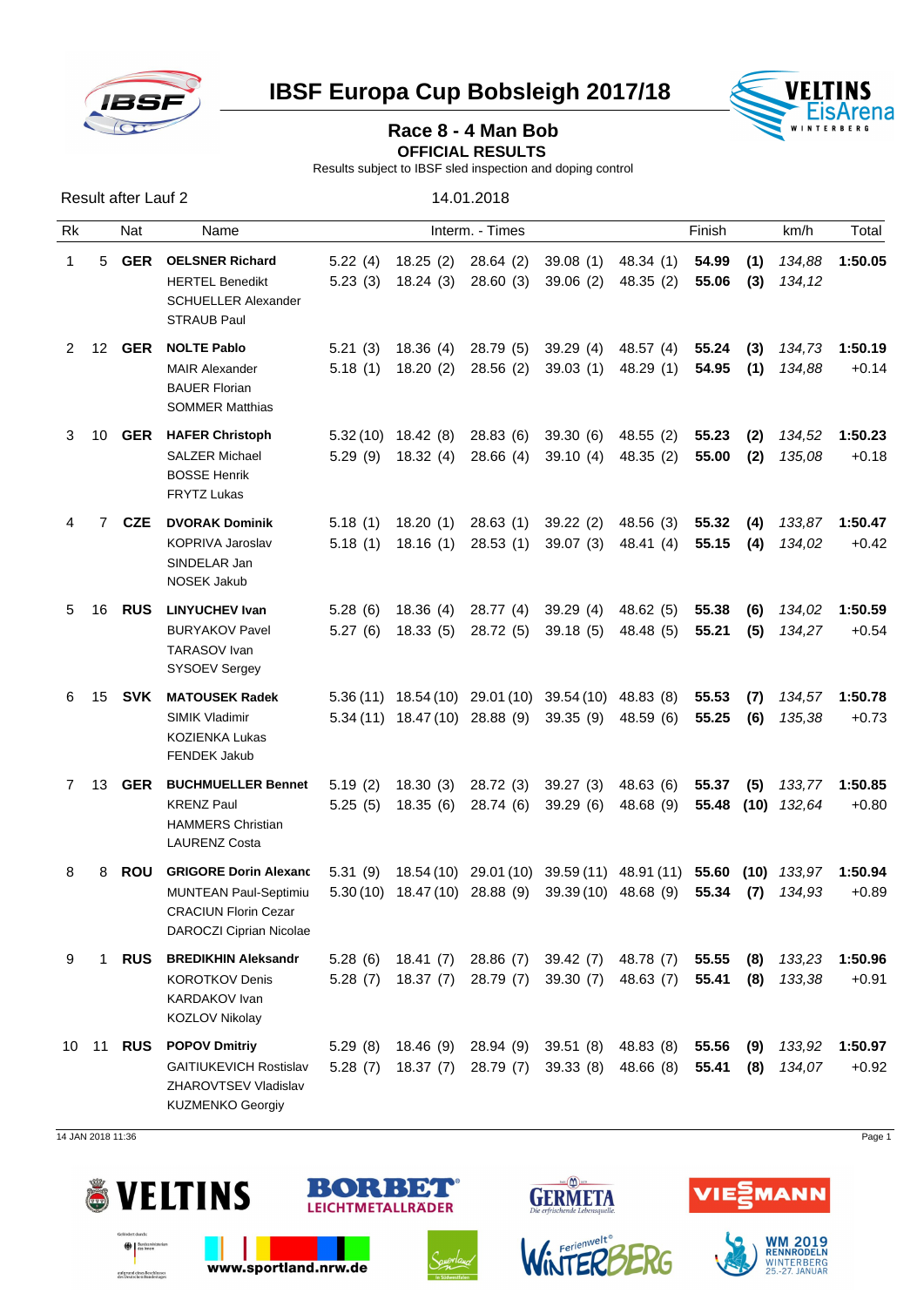

**IBSF Europa Cup Bobsleigh 2017/18 VELTINS** 



## Race 8 - 4 Man Bob

**OFFICIAL RESULTS** 

Results subject to IBSF sled inspection and doping control

| Result after Lauf 2 |                |                  |                                                                                                                                                                                                    | 14.01.2018         |                      |                                                               |                                                                                                            |                                  |                |            |                         |                           |
|---------------------|----------------|------------------|----------------------------------------------------------------------------------------------------------------------------------------------------------------------------------------------------|--------------------|----------------------|---------------------------------------------------------------|------------------------------------------------------------------------------------------------------------|----------------------------------|----------------|------------|-------------------------|---------------------------|
| Rk                  |                | Nat              | Name                                                                                                                                                                                               |                    | Finish               |                                                               |                                                                                                            | km/h                             | Total          |            |                         |                           |
| $\mathbf 1$         | 5              | GER              | <b>OELSNER Richard</b><br><b>HERTEL Benedikt</b><br><b>SCHUELLER Alexander</b><br><b>STRAUB Paul</b>                                                                                               |                    |                      | 5.22 (4) 18.25 (2) 28.64 (2)<br>$5.23(3)$ 18.24 (3) 28.60 (3) | 39.08 (1) 48.34 (1)<br>39.06(2)                                                                            | 48.35 (2)                        | 54.99<br>55.06 | (1)<br>(3) | 134,88<br>134,12        | 1:50.05                   |
|                     | 2 12           | GER              | <b>NOLTE Pablo</b><br><b>MAIR Alexander</b><br><b>BAUER Florian</b><br><b>SOMMER Matthias</b>                                                                                                      | 5.21(3)            | 18.36(4)             | 28.79 (5)<br>5.18 (1) 18.20 (2) 28.56 (2)                     | 39.29 (4)<br>39.03 (1) 48.29 (1)                                                                           | 48.57 (4)                        | 55.24<br>54.95 | (3)<br>(1) | 134,73<br>134,88        | 1:50.19<br>$+0.14$        |
|                     | 3 10           | GER              | <b>HAFER Christoph</b><br><b>SALZER Michael</b><br><b>BOSSE Henrik</b><br>FRYTZ Lukas                                                                                                              |                    | $5.32(10)$ 18.42 (8) |                                                               | 28.83 (6) 39.30 (6) 48.55 (2)<br>5.29 (9) 18.32 (4) 28.66 (4) 39.10 (4) 48.35 (2)                          |                                  | 55.23<br>55.00 | (2)<br>(2) | 134,52<br>135,08        | 1:50.23<br>$+0.18$        |
| 4                   | $\overline{7}$ | CZE              | <b>DVORAK Dominik</b><br>KOPRIVA Jaroslav<br>SINDELAR Jan<br>NOSEK Jakub                                                                                                                           | 5.18(1)            |                      | $5.18(1)$ $18.20(1)$ $28.63(1)$<br>18.16 (1) 28.53 (1)        | 39.07 (3)                                                                                                  | 39.22 (2) 48.56 (3)<br>48.41 (4) | 55.32<br>55.15 | (4)<br>(4) | 133,87<br>134,02        | 1:50.47<br>$+0.42$        |
| 5                   | 16             | <b>RUS</b>       | <b>LINYUCHEV Ivan</b><br><b>BURYAKOV Pavel</b><br>TARASOV Ivan<br><b>SYSOEV Sergey</b>                                                                                                             | 5.28(6)<br>5.27(6) | 18.36(4)             | 28.77 (4)                                                     | 39.29 (4)<br>18.33 (5) 28.72 (5) 39.18 (5)                                                                 | 48.62 (5)<br>48.48 (5)           | 55.38<br>55.21 | (6)<br>(5) | 134,02<br>134,27        | 1:50.59<br>$+0.54$        |
| 6                   | 15             | SVK              | <b>MATOUSEK Radek</b><br><b>SIMIK Vladimir</b><br>KOZIENKA Lukas<br><b>FENDEK Jakub</b>                                                                                                            |                    |                      |                                                               | 5.36 (11) 18.54 (10) 29.01 (10) 39.54 (10) 48.83 (8)<br>5.34 (11) 18.47 (10) 28.88 (9) 39.35 (9) 48.59 (6) |                                  | 55.53<br>55.25 | (7)<br>(6) | 134,57<br>135,38        | 1:50.78<br>$+0.73$        |
|                     | 7 13           | GER              | <b>BUCHMUELLER Bennet</b><br><b>KRENZ Paul</b><br><b>HAMMERS Christian</b><br><b>LAURENZ Costa</b>                                                                                                 | 5.19(2)<br>5.25(5) | 18.30 (3)            | 18.35 (6) 28.74 (6)                                           | 28.72 (3) 39.27 (3)<br>39.29 (6)                                                                           | 48.63 (6)<br>48.68 (9)           | 55.37<br>55.48 | (5)        | 133,77<br>$(10)$ 132,64 | 1:50.85<br>$+0.80$        |
| 8                   | 8              |                  | ROU GRIGORE Dorin Alexanc 5.31 (9) 18.54 (10) 29.01 (10) 39.59 (11) 48.91 (11) 55.60 (10) 133,97 1:50.94<br><b>MUNTEAN Paul-Septimiu</b><br><b>CRACIUN Florin Cezar</b><br>DAROCZI Ciprian Nicolae |                    |                      |                                                               | 5.30(10) 18.47(10) 28.88 (9) 39.39(10) 48.68 (9) 55.34 (7) 134,93                                          |                                  |                |            |                         | $+0.89$                   |
| 9                   | $\mathbf{1}$   | <b>RUS</b>       | <b>BREDIKHIN Aleksandr</b><br><b>KOROTKOV Denis</b><br>KARDAKOV Ivan<br><b>KOZLOV Nikolay</b>                                                                                                      |                    |                      |                                                               | 5.28 (6) 18.41 (7) 28.86 (7) 39.42 (7) 48.78 (7)<br>5.28 (7) 18.37 (7) 28.79 (7) 39.30 (7) 48.63 (7)       |                                  | 55.55<br>55.41 | (8)<br>(8) | 133,38                  | 133,23 1:50.96<br>$+0.91$ |
|                     |                | 10 11 <b>RUS</b> | <b>POPOV Dmitriy</b><br><b>GAITIUKEVICH Rostislav</b><br>ZHAROVTSEV Vladislav<br><b>KUZMENKO Georgiy</b>                                                                                           | 5.29(8)            | 18.46 (9)            |                                                               | 28.94 (9) 39.51 (8) 48.83 (8)<br>5.28 (7) 18.37 (7) 28.79 (7) 39.33 (8) 48.66 (8)                          |                                  | 55.56<br>55.41 | (9)<br>(8) | 133,92<br>134,07        | 1:50.97<br>$+0.92$        |

14 JAN 2018 11:36 Page 1



aufgrund eines Beschlusse



www.sportland.nrw.de